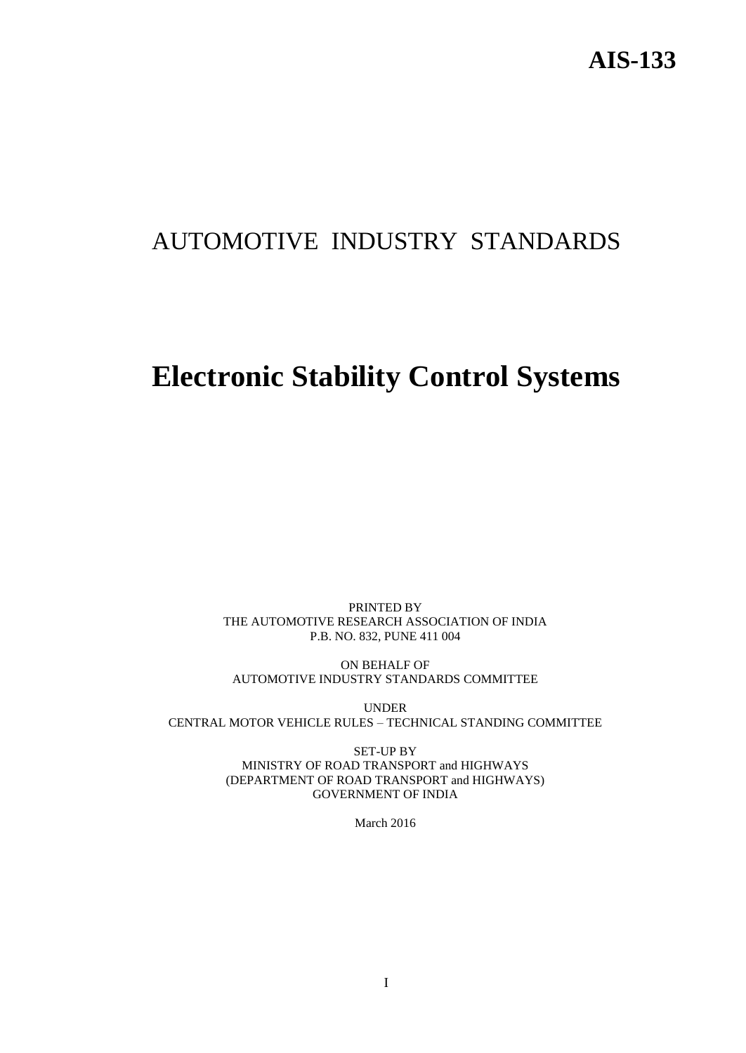# AUTOMOTIVE INDUSTRY STANDARDS

# **Electronic Stability Control Systems**

PRINTED BY THE AUTOMOTIVE RESEARCH ASSOCIATION OF INDIA P.B. NO. 832, PUNE 411 004

ON BEHALF OF AUTOMOTIVE INDUSTRY STANDARDS COMMITTEE

UNDER CENTRAL MOTOR VEHICLE RULES – TECHNICAL STANDING COMMITTEE

> SET-UP BY MINISTRY OF ROAD TRANSPORT and HIGHWAYS (DEPARTMENT OF ROAD TRANSPORT and HIGHWAYS) GOVERNMENT OF INDIA

> > March 2016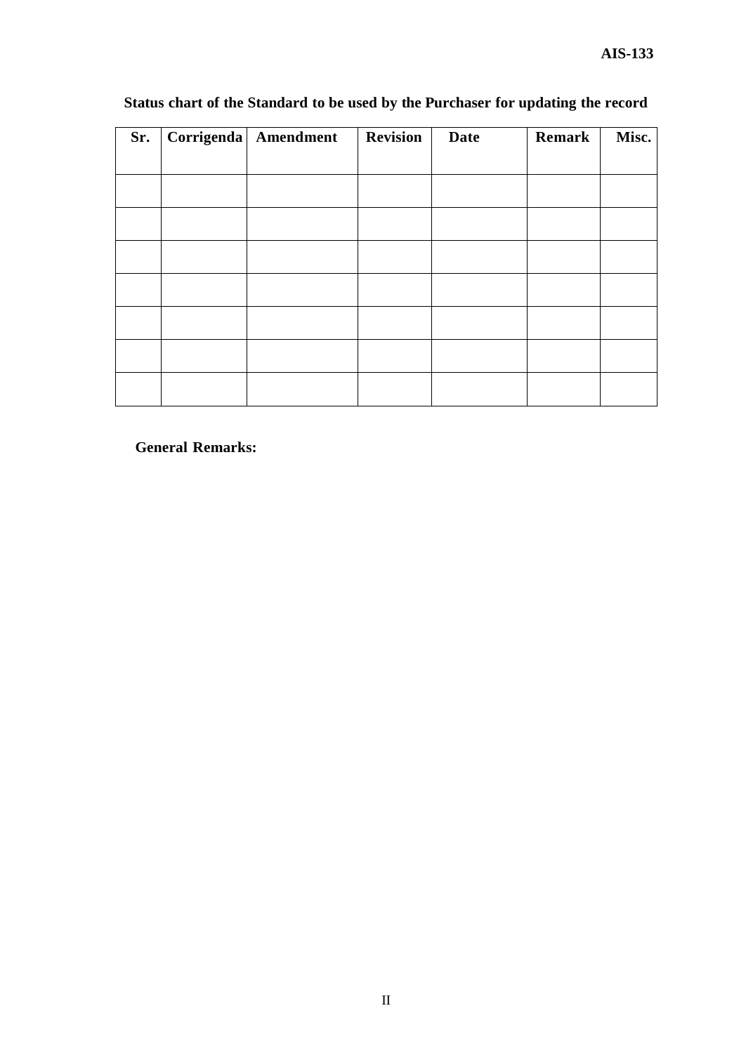| Sr. | Corrigenda   Amendment | <b>Revision</b> | <b>Date</b> | Remark | Misc. |
|-----|------------------------|-----------------|-------------|--------|-------|
|     |                        |                 |             |        |       |
|     |                        |                 |             |        |       |
|     |                        |                 |             |        |       |
|     |                        |                 |             |        |       |
|     |                        |                 |             |        |       |
|     |                        |                 |             |        |       |
|     |                        |                 |             |        |       |
|     |                        |                 |             |        |       |
|     |                        |                 |             |        |       |
|     |                        |                 |             |        |       |
|     |                        |                 |             |        |       |
|     |                        |                 |             |        |       |
|     |                        |                 |             |        |       |

## **Status chart of the Standard to be used by the Purchaser for updating the record**

**General Remarks:**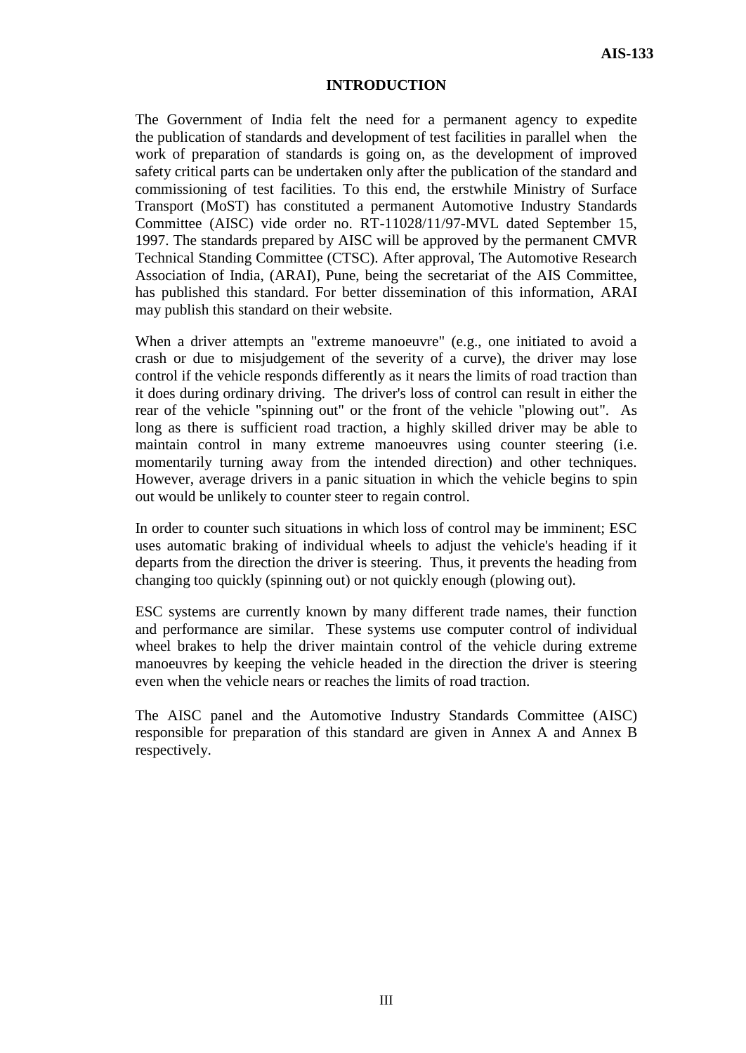#### **INTRODUCTION**

The Government of India felt the need for a permanent agency to expedite the publication of standards and development of test facilities in parallel when the work of preparation of standards is going on, as the development of improved safety critical parts can be undertaken only after the publication of the standard and commissioning of test facilities. To this end, the erstwhile Ministry of Surface Transport (MoST) has constituted a permanent Automotive Industry Standards Committee (AISC) vide order no. RT-11028/11/97-MVL dated September 15, 1997. The standards prepared by AISC will be approved by the permanent CMVR Technical Standing Committee (CTSC). After approval, The Automotive Research Association of India, (ARAI), Pune, being the secretariat of the AIS Committee, has published this standard. For better dissemination of this information, ARAI may publish this standard on their website.

When a driver attempts an "extreme manoeuvre" (e.g., one initiated to avoid a crash or due to misjudgement of the severity of a curve), the driver may lose control if the vehicle responds differently as it nears the limits of road traction than it does during ordinary driving. The driver's loss of control can result in either the rear of the vehicle "spinning out" or the front of the vehicle "plowing out". As long as there is sufficient road traction, a highly skilled driver may be able to maintain control in many extreme manoeuvres using counter steering (i.e. momentarily turning away from the intended direction) and other techniques. However, average drivers in a panic situation in which the vehicle begins to spin out would be unlikely to counter steer to regain control.

In order to counter such situations in which loss of control may be imminent; ESC uses automatic braking of individual wheels to adjust the vehicle's heading if it departs from the direction the driver is steering. Thus, it prevents the heading from changing too quickly (spinning out) or not quickly enough (plowing out).

ESC systems are currently known by many different trade names, their function and performance are similar. These systems use computer control of individual wheel brakes to help the driver maintain control of the vehicle during extreme manoeuvres by keeping the vehicle headed in the direction the driver is steering even when the vehicle nears or reaches the limits of road traction.

The AISC panel and the Automotive Industry Standards Committee (AISC) responsible for preparation of this standard are given in Annex A and Annex B respectively.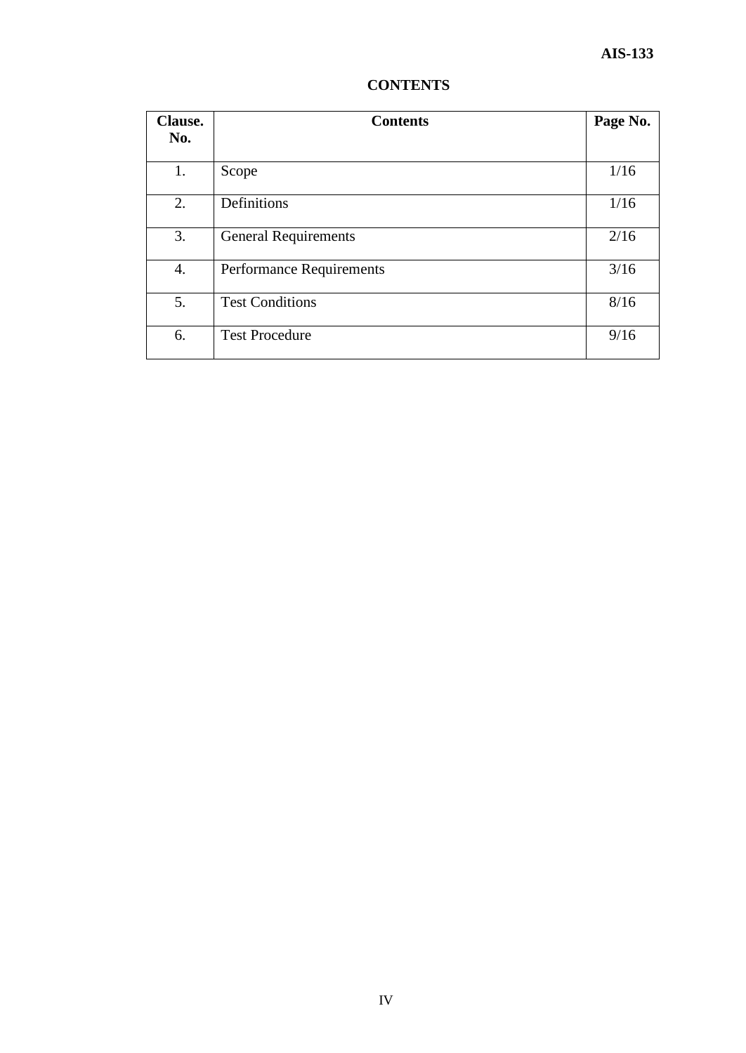| <b>Clause.</b><br>No. | <b>Contents</b>                 | Page No. |
|-----------------------|---------------------------------|----------|
|                       |                                 |          |
| 1.                    | Scope                           | 1/16     |
| 2.                    | Definitions                     | 1/16     |
| 3.                    | <b>General Requirements</b>     | 2/16     |
| 4.                    | <b>Performance Requirements</b> | 3/16     |
| 5.                    | <b>Test Conditions</b>          | 8/16     |
| 6.                    | <b>Test Procedure</b>           | 9/16     |

### **CONTENTS**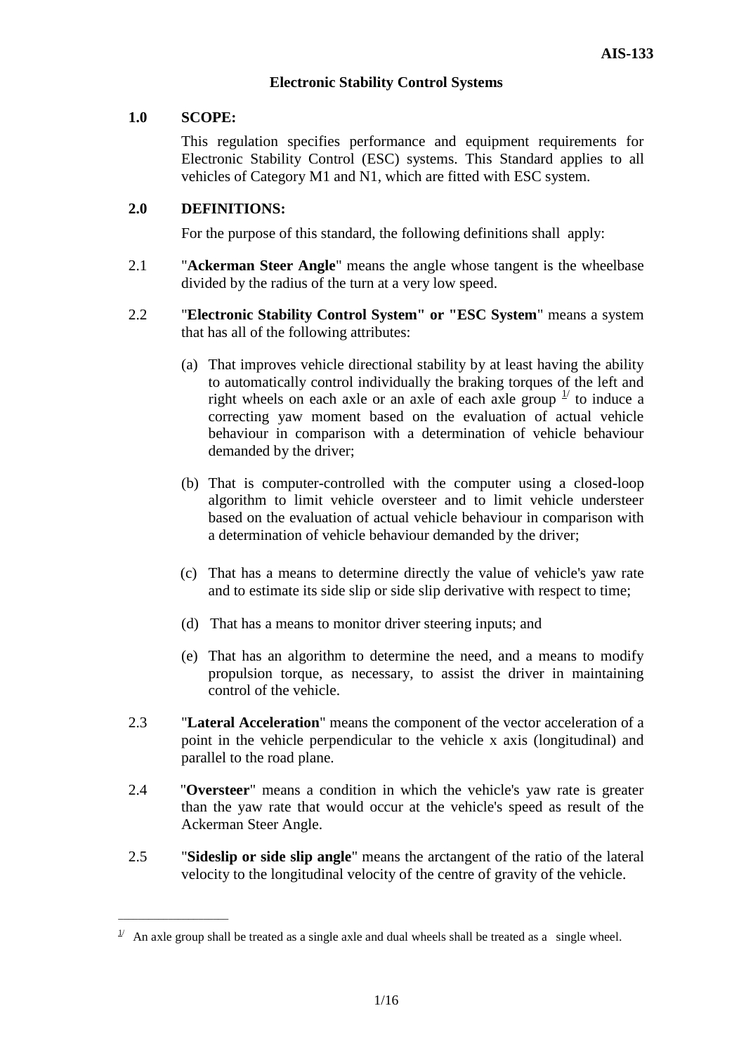#### **Electronic Stability Control Systems**

#### **1.0 SCOPE:**

\_\_\_\_\_\_\_\_\_\_\_\_\_\_\_\_\_\_\_\_\_\_

This regulation specifies performance and equipment requirements for Electronic Stability Control (ESC) systems. This Standard applies to all vehicles of Category M1 and N1, which are fitted with ESC system.

#### **2.0 DEFINITIONS:**

For the purpose of this standard, the following definitions shall apply:

- 2.1 "**Ackerman Steer Angle**" means the angle whose tangent is the wheelbase divided by the radius of the turn at a very low speed.
- 2.2 "**Electronic Stability Control System" or "ESC System**" means a system that has all of the following attributes:
	- (a) That improves vehicle directional stability by at least having the ability to automatically control individually the braking torques of the left and right wheels on each axle or an axle of each axle group  $\frac{1}{1}$  to induce a correcting yaw moment based on the evaluation of actual vehicle behaviour in comparison with a determination of vehicle behaviour demanded by the driver;
	- (b) That is computer-controlled with the computer using a closed-loop algorithm to limit vehicle oversteer and to limit vehicle understeer based on the evaluation of actual vehicle behaviour in comparison with a determination of vehicle behaviour demanded by the driver;
	- (c) That has a means to determine directly the value of vehicle's yaw rate and to estimate its side slip or side slip derivative with respect to time;
	- (d) That has a means to monitor driver steering inputs; and
	- (e) That has an algorithm to determine the need, and a means to modify propulsion torque, as necessary, to assist the driver in maintaining control of the vehicle.
- 2.3 "**Lateral Acceleration**" means the component of the vector acceleration of a point in the vehicle perpendicular to the vehicle x axis (longitudinal) and parallel to the road plane.
- 2.4 "**Oversteer**" means a condition in which the vehicle's yaw rate is greater than the yaw rate that would occur at the vehicle's speed as result of the Ackerman Steer Angle.
- 2.5 "**Sideslip or side slip angle**" means the arctangent of the ratio of the lateral velocity to the longitudinal velocity of the centre of gravity of the vehicle.

 $\frac{1}{2}$  An axle group shall be treated as a single axle and dual wheels shall be treated as a single wheel.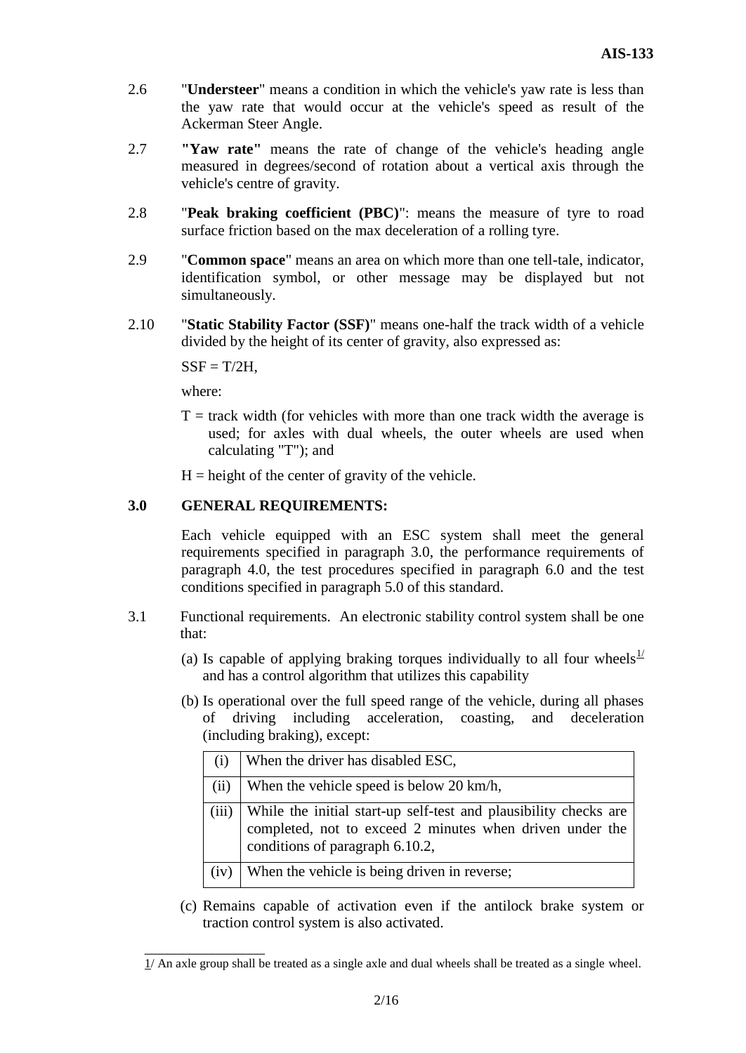- 2.6 "**Understeer**" means a condition in which the vehicle's yaw rate is less than the yaw rate that would occur at the vehicle's speed as result of the Ackerman Steer Angle.
- 2.7 **"Yaw rate"** means the rate of change of the vehicle's heading angle measured in degrees/second of rotation about a vertical axis through the vehicle's centre of gravity.
- 2.8 "**Peak braking coefficient (PBC)**": means the measure of tyre to road surface friction based on the max deceleration of a rolling tyre.
- 2.9 "**Common space**" means an area on which more than one tell-tale, indicator, identification symbol, or other message may be displayed but not simultaneously.
- 2.10 "**Static Stability Factor (SSF)**" means one-half the track width of a vehicle divided by the height of its center of gravity, also expressed as:

 $SSF = T/2H$ .

where:

 $\overline{\phantom{a}}$  , we can also the contract of  $\overline{\phantom{a}}$ 

 $T =$  track width (for vehicles with more than one track width the average is used; for axles with dual wheels, the outer wheels are used when calculating "T"); and

 $H =$  height of the center of gravity of the vehicle.

#### **3.0 GENERAL REQUIREMENTS:**

Each vehicle equipped with an ESC system shall meet the general requirements specified in paragraph 3.0, the performance requirements of paragraph 4.0, the test procedures specified in paragraph 6.0 and the test conditions specified in paragraph 5.0 of this standard.

- 3.1 Functional requirements. An electronic stability control system shall be one that:
	- (a) Is capable of applying braking torques individually to all four wheels<sup>1/</sup> and has a control algorithm that utilizes this capability
	- (b) Is operational over the full speed range of the vehicle, during all phases of driving including acceleration, coasting, and deceleration (including braking), except:

|       | When the driver has disabled ESC,                                                                                                                               |
|-------|-----------------------------------------------------------------------------------------------------------------------------------------------------------------|
| (ii)  | When the vehicle speed is below 20 km/h,                                                                                                                        |
| (iii) | While the initial start-up self-test and plausibility checks are<br>completed, not to exceed 2 minutes when driven under the<br>conditions of paragraph 6.10.2, |
| (iv)  | When the vehicle is being driven in reverse;                                                                                                                    |

(c) Remains capable of activation even if the antilock brake system or traction control system is also activated.

 $1/$  An axle group shall be treated as a single axle and dual wheels shall be treated as a single wheel.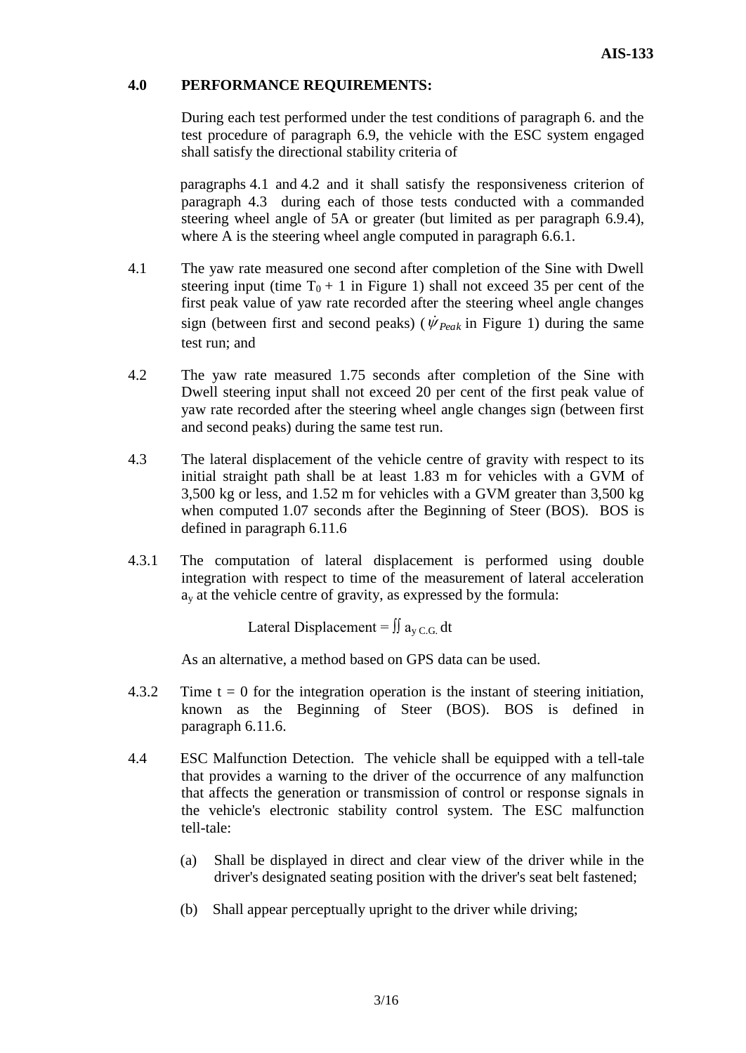#### **4.0 PERFORMANCE REQUIREMENTS:**

During each test performed under the test conditions of paragraph 6. and the test procedure of paragraph 6.9, the vehicle with the ESC system engaged shall satisfy the directional stability criteria of

paragraphs 4.1 and 4.2 and it shall satisfy the responsiveness criterion of paragraph 4.3 during each of those tests conducted with a commanded steering wheel angle of 5A or greater (but limited as per paragraph 6.9.4), where A is the steering wheel angle computed in paragraph 6.6.1.

- 4.1 The yaw rate measured one second after completion of the Sine with Dwell steering input (time  $T_0 + 1$  in Figure 1) shall not exceed 35 per cent of the first peak value of yaw rate recorded after the steering wheel angle changes sign (between first and second peaks) ( $\dot{\psi}_{Peak}$  in Figure 1) during the same test run; and
- 4.2 The yaw rate measured 1.75 seconds after completion of the Sine with Dwell steering input shall not exceed 20 per cent of the first peak value of yaw rate recorded after the steering wheel angle changes sign (between first and second peaks) during the same test run.
- 4.3 The lateral displacement of the vehicle centre of gravity with respect to its initial straight path shall be at least 1.83 m for vehicles with a GVM of 3,500 kg or less, and 1.52 m for vehicles with a GVM greater than 3,500 kg when computed 1.07 seconds after the Beginning of Steer (BOS). BOS is defined in paragraph 6.11.6
- 4.3.1 The computation of lateral displacement is performed using double integration with respect to time of the measurement of lateral acceleration  $a<sub>v</sub>$  at the vehicle centre of gravity, as expressed by the formula:

Lateral Displacement =  $\iint a_{v, C, G} dt$ 

As an alternative, a method based on GPS data can be used.

- 4.3.2 Time  $t = 0$  for the integration operation is the instant of steering initiation, known as the Beginning of Steer (BOS). BOS is defined in paragraph 6.11.6.
- 4.4 ESC Malfunction Detection. The vehicle shall be equipped with a tell-tale that provides a warning to the driver of the occurrence of any malfunction that affects the generation or transmission of control or response signals in the vehicle's electronic stability control system. The ESC malfunction tell-tale:
	- (a) Shall be displayed in direct and clear view of the driver while in the driver's designated seating position with the driver's seat belt fastened;
	- (b) Shall appear perceptually upright to the driver while driving;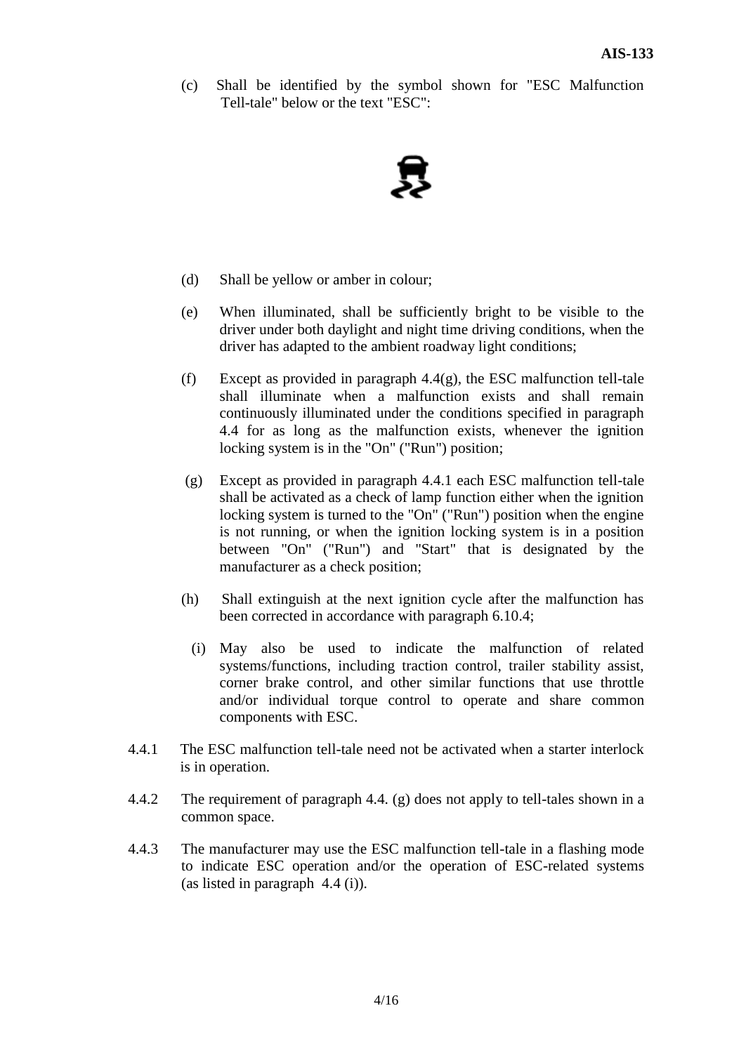(c) Shall be identified by the symbol shown for "ESC Malfunction Tell-tale" below or the text "ESC":



- (d) Shall be yellow or amber in colour;
- (e) When illuminated, shall be sufficiently bright to be visible to the driver under both daylight and night time driving conditions, when the driver has adapted to the ambient roadway light conditions;
- (f) Except as provided in paragraph  $4.4(g)$ , the ESC malfunction tell-tale shall illuminate when a malfunction exists and shall remain continuously illuminated under the conditions specified in paragraph 4.4 for as long as the malfunction exists, whenever the ignition locking system is in the "On" ("Run") position;
- (g) Except as provided in paragraph 4.4.1 each ESC malfunction tell-tale shall be activated as a check of lamp function either when the ignition locking system is turned to the "On" ("Run") position when the engine is not running, or when the ignition locking system is in a position between "On" ("Run") and "Start" that is designated by the manufacturer as a check position;
- (h) Shall extinguish at the next ignition cycle after the malfunction has been corrected in accordance with paragraph 6.10.4;
	- (i) May also be used to indicate the malfunction of related systems/functions, including traction control, trailer stability assist, corner brake control, and other similar functions that use throttle and/or individual torque control to operate and share common components with ESC.
- 4.4.1 The ESC malfunction tell-tale need not be activated when a starter interlock is in operation.
- 4.4.2 The requirement of paragraph 4.4. (g) does not apply to tell-tales shown in a common space.
- 4.4.3 The manufacturer may use the ESC malfunction tell-tale in a flashing mode to indicate ESC operation and/or the operation of ESC-related systems (as listed in paragraph 4.4 (i)).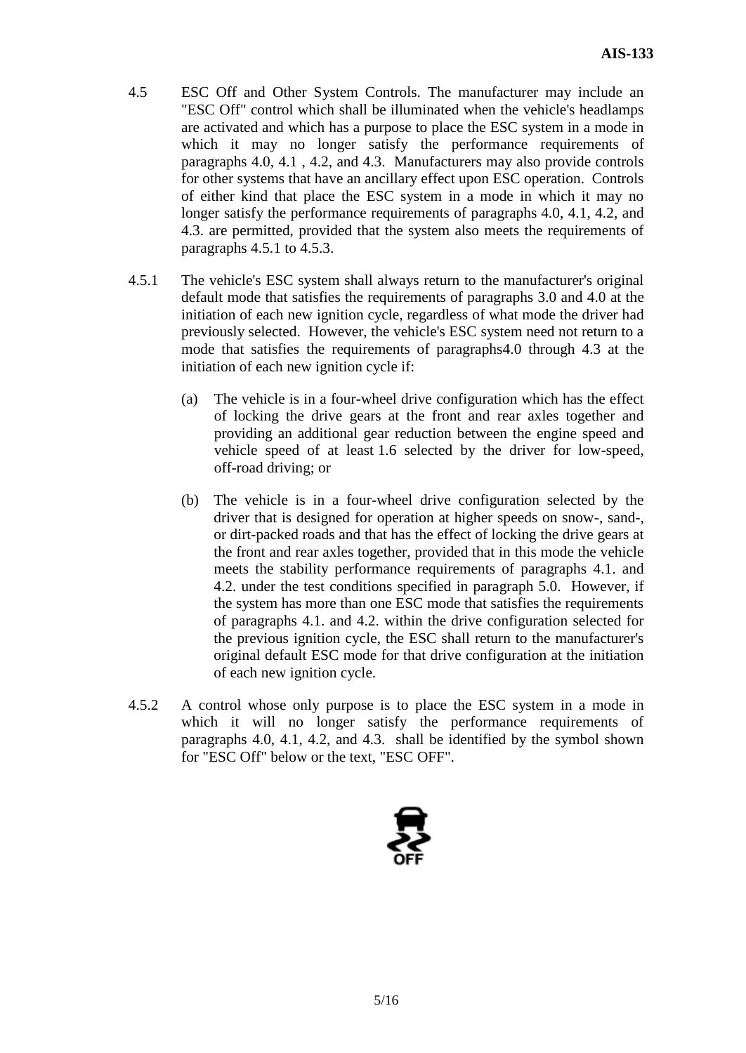- 4.5 ESC Off and Other System Controls. The manufacturer may include an "ESC Off" control which shall be illuminated when the vehicle's headlamps are activated and which has a purpose to place the ESC system in a mode in which it may no longer satisfy the performance requirements of paragraphs 4.0, 4.1 , 4.2, and 4.3. Manufacturers may also provide controls for other systems that have an ancillary effect upon ESC operation. Controls of either kind that place the ESC system in a mode in which it may no longer satisfy the performance requirements of paragraphs 4.0, 4.1, 4.2, and 4.3. are permitted, provided that the system also meets the requirements of paragraphs 4.5.1 to 4.5.3.
- 4.5.1 The vehicle's ESC system shall always return to the manufacturer's original default mode that satisfies the requirements of paragraphs 3.0 and 4.0 at the initiation of each new ignition cycle, regardless of what mode the driver had previously selected. However, the vehicle's ESC system need not return to a mode that satisfies the requirements of paragraphs4.0 through 4.3 at the initiation of each new ignition cycle if:
	- (a) The vehicle is in a four-wheel drive configuration which has the effect of locking the drive gears at the front and rear axles together and providing an additional gear reduction between the engine speed and vehicle speed of at least 1.6 selected by the driver for low-speed, off-road driving; or
	- (b) The vehicle is in a four-wheel drive configuration selected by the driver that is designed for operation at higher speeds on snow-, sand-, or dirt-packed roads and that has the effect of locking the drive gears at the front and rear axles together, provided that in this mode the vehicle meets the stability performance requirements of paragraphs 4.1. and 4.2. under the test conditions specified in paragraph 5.0. However, if the system has more than one ESC mode that satisfies the requirements of paragraphs 4.1. and 4.2. within the drive configuration selected for the previous ignition cycle, the ESC shall return to the manufacturer's original default ESC mode for that drive configuration at the initiation of each new ignition cycle.
- 4.5.2 A control whose only purpose is to place the ESC system in a mode in which it will no longer satisfy the performance requirements of paragraphs 4.0, 4.1, 4.2, and 4.3. shall be identified by the symbol shown for "ESC Off" below or the text, "ESC OFF".

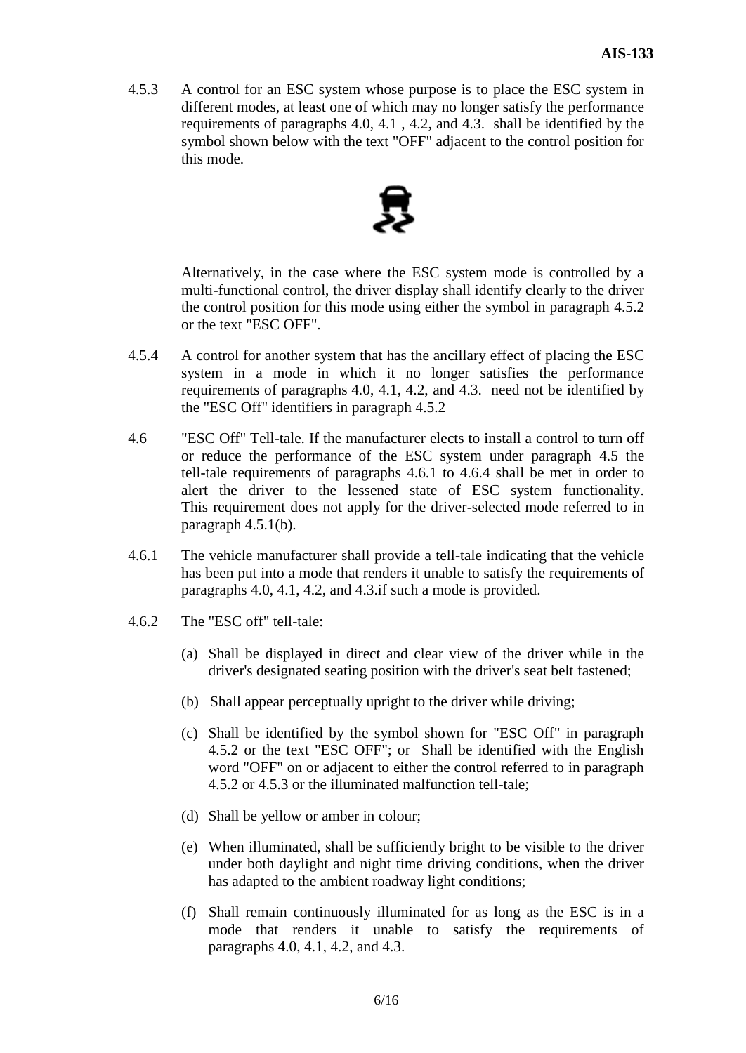4.5.3 A control for an ESC system whose purpose is to place the ESC system in different modes, at least one of which may no longer satisfy the performance requirements of paragraphs 4.0, 4.1 , 4.2, and 4.3. shall be identified by the symbol shown below with the text "OFF" adjacent to the control position for this mode.



Alternatively, in the case where the ESC system mode is controlled by a multi-functional control, the driver display shall identify clearly to the driver the control position for this mode using either the symbol in paragraph 4.5.2 or the text "ESC OFF".

- 4.5.4 A control for another system that has the ancillary effect of placing the ESC system in a mode in which it no longer satisfies the performance requirements of paragraphs 4.0, 4.1, 4.2, and 4.3. need not be identified by the "ESC Off" identifiers in paragraph 4.5.2
- 4.6 "ESC Off" Tell-tale. If the manufacturer elects to install a control to turn off or reduce the performance of the ESC system under paragraph 4.5 the tell-tale requirements of paragraphs 4.6.1 to 4.6.4 shall be met in order to alert the driver to the lessened state of ESC system functionality. This requirement does not apply for the driver-selected mode referred to in paragraph 4.5.1(b).
- 4.6.1 The vehicle manufacturer shall provide a tell-tale indicating that the vehicle has been put into a mode that renders it unable to satisfy the requirements of paragraphs 4.0, 4.1, 4.2, and 4.3.if such a mode is provided.
- 4.6.2 The "ESC off" tell-tale:
	- (a) Shall be displayed in direct and clear view of the driver while in the driver's designated seating position with the driver's seat belt fastened;
	- (b) Shall appear perceptually upright to the driver while driving;
	- (c) Shall be identified by the symbol shown for "ESC Off" in paragraph 4.5.2 or the text "ESC OFF"; or Shall be identified with the English word "OFF" on or adjacent to either the control referred to in paragraph 4.5.2 or 4.5.3 or the illuminated malfunction tell-tale;
	- (d) Shall be yellow or amber in colour;
	- (e) When illuminated, shall be sufficiently bright to be visible to the driver under both daylight and night time driving conditions, when the driver has adapted to the ambient roadway light conditions;
	- (f) Shall remain continuously illuminated for as long as the ESC is in a mode that renders it unable to satisfy the requirements of paragraphs 4.0, 4.1, 4.2, and 4.3.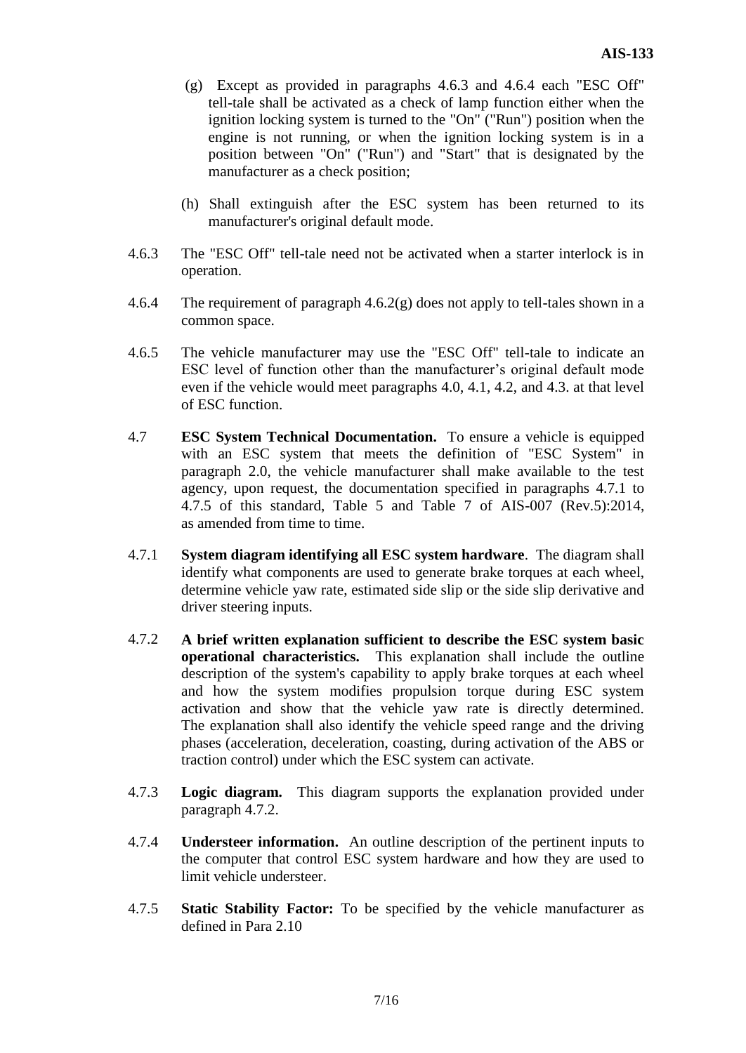- (g) Except as provided in paragraphs 4.6.3 and 4.6.4 each "ESC Off" tell-tale shall be activated as a check of lamp function either when the ignition locking system is turned to the "On" ("Run") position when the engine is not running, or when the ignition locking system is in a position between "On" ("Run") and "Start" that is designated by the manufacturer as a check position;
- (h) Shall extinguish after the ESC system has been returned to its manufacturer's original default mode.
- 4.6.3 The "ESC Off" tell-tale need not be activated when a starter interlock is in operation.
- 4.6.4 The requirement of paragraph 4.6.2(g) does not apply to tell-tales shown in a common space.
- 4.6.5 The vehicle manufacturer may use the "ESC Off" tell-tale to indicate an ESC level of function other than the manufacturer's original default mode even if the vehicle would meet paragraphs 4.0, 4.1, 4.2, and 4.3. at that level of ESC function.
- 4.7 **ESC System Technical Documentation.** To ensure a vehicle is equipped with an ESC system that meets the definition of "ESC System" in paragraph 2.0, the vehicle manufacturer shall make available to the test agency, upon request, the documentation specified in paragraphs 4.7.1 to 4.7.5 of this standard, Table 5 and Table 7 of AIS-007 (Rev.5):2014, as amended from time to time.
- 4.7.1 **System diagram identifying all ESC system hardware**. The diagram shall identify what components are used to generate brake torques at each wheel, determine vehicle yaw rate, estimated side slip or the side slip derivative and driver steering inputs.
- 4.7.2 **A brief written explanation sufficient to describe the ESC system basic operational characteristics.** This explanation shall include the outline description of the system's capability to apply brake torques at each wheel and how the system modifies propulsion torque during ESC system activation and show that the vehicle yaw rate is directly determined. The explanation shall also identify the vehicle speed range and the driving phases (acceleration, deceleration, coasting, during activation of the ABS or traction control) under which the ESC system can activate.
- 4.7.3 **Logic diagram.** This diagram supports the explanation provided under paragraph 4.7.2.
- 4.7.4 **Understeer information.** An outline description of the pertinent inputs to the computer that control ESC system hardware and how they are used to limit vehicle understeer.
- 4.7.5 **Static Stability Factor:** To be specified by the vehicle manufacturer as defined in Para 2.10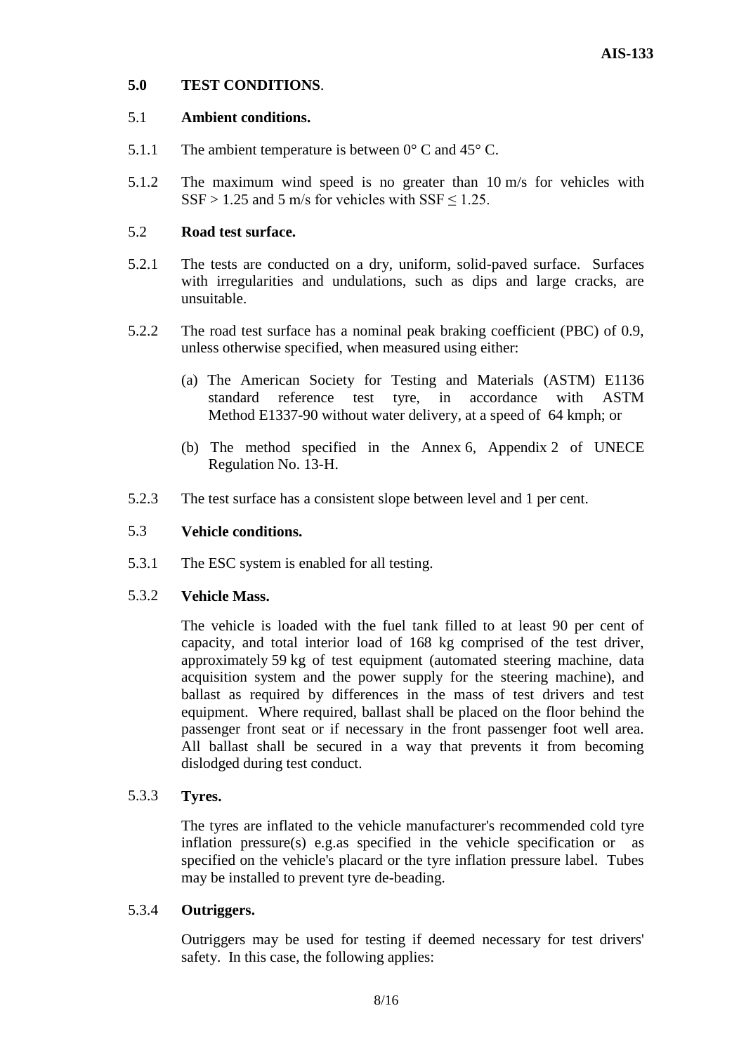#### **5.0 TEST CONDITIONS**.

#### 5.1 **Ambient conditions.**

- 5.1.1 The ambient temperature is between  $0^{\circ}$  C and 45 $^{\circ}$  C.
- 5.1.2 The maximum wind speed is no greater than 10 m/s for vehicles with  $SSF > 1.25$  and 5 m/s for vehicles with  $SSF \le 1.25$ .

#### 5.2 **Road test surface.**

- 5.2.1 The tests are conducted on a dry, uniform, solid-paved surface. Surfaces with irregularities and undulations, such as dips and large cracks, are unsuitable.
- 5.2.2 The road test surface has a nominal peak braking coefficient (PBC) of 0.9, unless otherwise specified, when measured using either:
	- (a) The American Society for Testing and Materials (ASTM) E1136 standard reference test tyre, in accordance with ASTM Method E1337-90 without water delivery, at a speed of 64 kmph; or
	- (b) The method specified in the Annex 6, Appendix 2 of UNECE Regulation No. 13-H.
- 5.2.3 The test surface has a consistent slope between level and 1 per cent.

#### 5.3 **Vehicle conditions.**

5.3.1 The ESC system is enabled for all testing.

#### 5.3.2 **Vehicle Mass.**

The vehicle is loaded with the fuel tank filled to at least 90 per cent of capacity, and total interior load of 168 kg comprised of the test driver, approximately 59 kg of test equipment (automated steering machine, data acquisition system and the power supply for the steering machine), and ballast as required by differences in the mass of test drivers and test equipment. Where required, ballast shall be placed on the floor behind the passenger front seat or if necessary in the front passenger foot well area. All ballast shall be secured in a way that prevents it from becoming dislodged during test conduct.

#### 5.3.3 **Tyres.**

The tyres are inflated to the vehicle manufacturer's recommended cold tyre inflation pressure(s) e.g.as specified in the vehicle specification or as specified on the vehicle's placard or the tyre inflation pressure label. Tubes may be installed to prevent tyre de-beading.

#### 5.3.4 **Outriggers.**

Outriggers may be used for testing if deemed necessary for test drivers' safety. In this case, the following applies: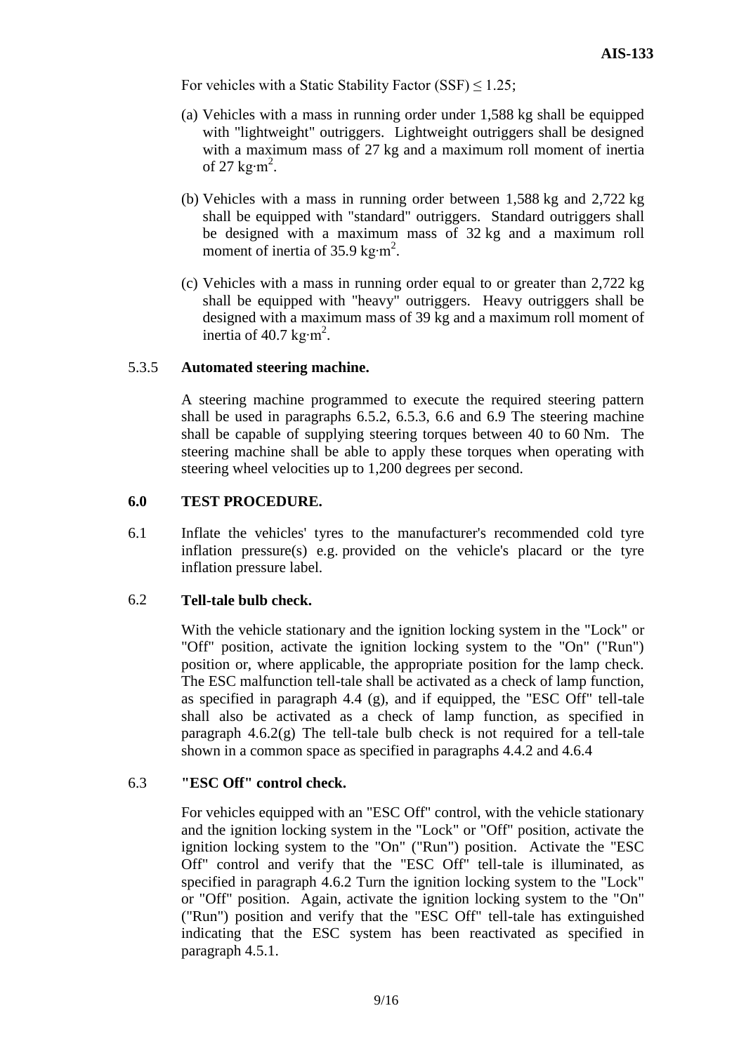For vehicles with a Static Stability Factor (SSF)  $\leq$  1.25;

- (a) Vehicles with a mass in running order under 1,588 kg shall be equipped with "lightweight" outriggers. Lightweight outriggers shall be designed with a maximum mass of 27 kg and a maximum roll moment of inertia of 27 kg⋅m<sup>2</sup>.
- (b) Vehicles with a mass in running order between 1,588 kg and 2,722 kg shall be equipped with "standard" outriggers. Standard outriggers shall be designed with a maximum mass of 32 kg and a maximum roll moment of inertia of 35.9 kg⋅m<sup>2</sup>.
- (c) Vehicles with a mass in running order equal to or greater than 2,722 kg shall be equipped with "heavy" outriggers. Heavy outriggers shall be designed with a maximum mass of 39 kg and a maximum roll moment of inertia of 40.7 kg⋅m<sup>2</sup>.

#### 5.3.5 **Automated steering machine.**

A steering machine programmed to execute the required steering pattern shall be used in paragraphs 6.5.2, 6.5.3, 6.6 and 6.9 The steering machine shall be capable of supplying steering torques between 40 to 60 Nm. The steering machine shall be able to apply these torques when operating with steering wheel velocities up to 1,200 degrees per second.

#### **6.0 TEST PROCEDURE.**

6.1 Inflate the vehicles' tyres to the manufacturer's recommended cold tyre inflation pressure(s) e.g. provided on the vehicle's placard or the tyre inflation pressure label.

#### 6.2 **Tell-tale bulb check.**

With the vehicle stationary and the ignition locking system in the "Lock" or "Off" position, activate the ignition locking system to the "On" ("Run") position or, where applicable, the appropriate position for the lamp check. The ESC malfunction tell-tale shall be activated as a check of lamp function, as specified in paragraph 4.4 (g), and if equipped, the "ESC Off" tell-tale shall also be activated as a check of lamp function, as specified in paragraph  $4.6.2(g)$  The tell-tale bulb check is not required for a tell-tale shown in a common space as specified in paragraphs 4.4.2 and 4.6.4

#### 6.3 **"ESC Off" control check.**

For vehicles equipped with an "ESC Off" control, with the vehicle stationary and the ignition locking system in the "Lock" or "Off" position, activate the ignition locking system to the "On" ("Run") position. Activate the "ESC Off" control and verify that the "ESC Off" tell-tale is illuminated, as specified in paragraph 4.6.2 Turn the ignition locking system to the "Lock" or "Off" position. Again, activate the ignition locking system to the "On" ("Run") position and verify that the "ESC Off" tell-tale has extinguished indicating that the ESC system has been reactivated as specified in paragraph 4.5.1.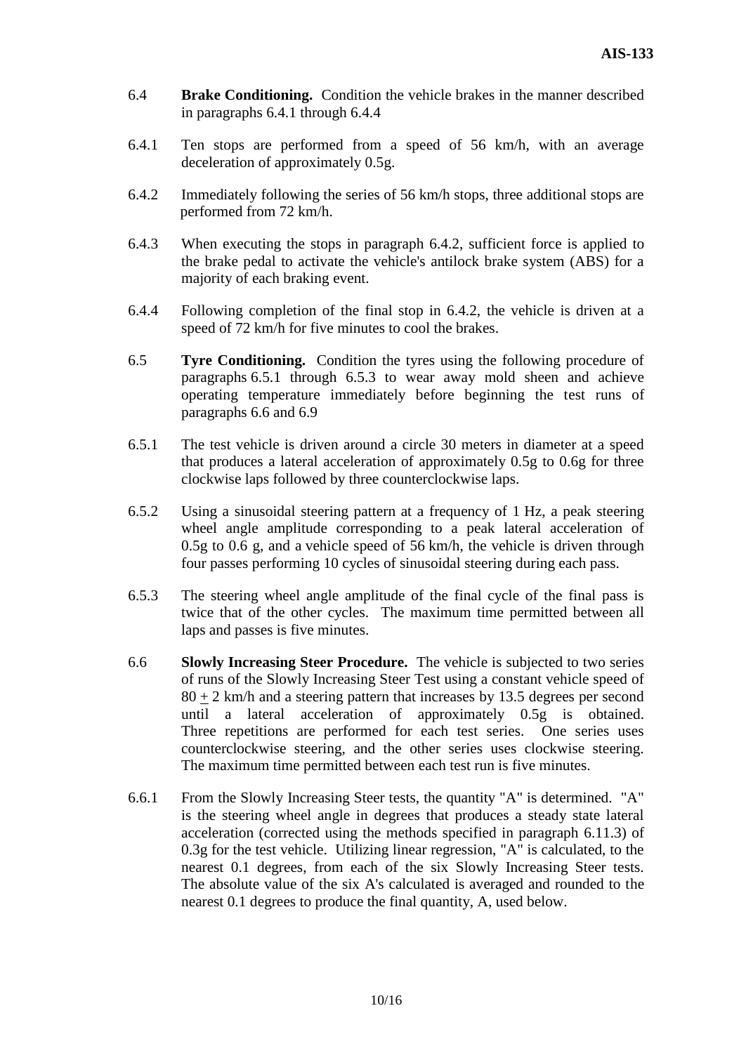- 6.4 **Brake Conditioning.** Condition the vehicle brakes in the manner described in paragraphs 6.4.1 through 6.4.4
- 6.4.1 Ten stops are performed from a speed of 56 km/h, with an average deceleration of approximately 0.5g.
- 6.4.2 Immediately following the series of 56 km/h stops, three additional stops are performed from 72 km/h.
- 6.4.3 When executing the stops in paragraph 6.4.2, sufficient force is applied to the brake pedal to activate the vehicle's antilock brake system (ABS) for a majority of each braking event.
- 6.4.4 Following completion of the final stop in 6.4.2, the vehicle is driven at a speed of 72 km/h for five minutes to cool the brakes.
- 6.5 **Tyre Conditioning.** Condition the tyres using the following procedure of paragraphs 6.5.1 through 6.5.3 to wear away mold sheen and achieve operating temperature immediately before beginning the test runs of paragraphs 6.6 and 6.9
- 6.5.1 The test vehicle is driven around a circle 30 meters in diameter at a speed that produces a lateral acceleration of approximately 0.5g to 0.6g for three clockwise laps followed by three counterclockwise laps.
- 6.5.2 Using a sinusoidal steering pattern at a frequency of 1 Hz, a peak steering wheel angle amplitude corresponding to a peak lateral acceleration of 0.5g to 0.6 g, and a vehicle speed of 56 km/h, the vehicle is driven through four passes performing 10 cycles of sinusoidal steering during each pass.
- 6.5.3 The steering wheel angle amplitude of the final cycle of the final pass is twice that of the other cycles. The maximum time permitted between all laps and passes is five minutes.
- 6.6 **Slowly Increasing Steer Procedure.** The vehicle is subjected to two series of runs of the Slowly Increasing Steer Test using a constant vehicle speed of  $80 + 2$  km/h and a steering pattern that increases by 13.5 degrees per second until a lateral acceleration of approximately 0.5g is obtained. Three repetitions are performed for each test series. One series uses counterclockwise steering, and the other series uses clockwise steering. The maximum time permitted between each test run is five minutes.
- 6.6.1 From the Slowly Increasing Steer tests, the quantity "A" is determined. "A" is the steering wheel angle in degrees that produces a steady state lateral acceleration (corrected using the methods specified in paragraph 6.11.3) of 0.3g for the test vehicle. Utilizing linear regression, "A" is calculated, to the nearest 0.1 degrees, from each of the six Slowly Increasing Steer tests. The absolute value of the six A's calculated is averaged and rounded to the nearest 0.1 degrees to produce the final quantity, A, used below.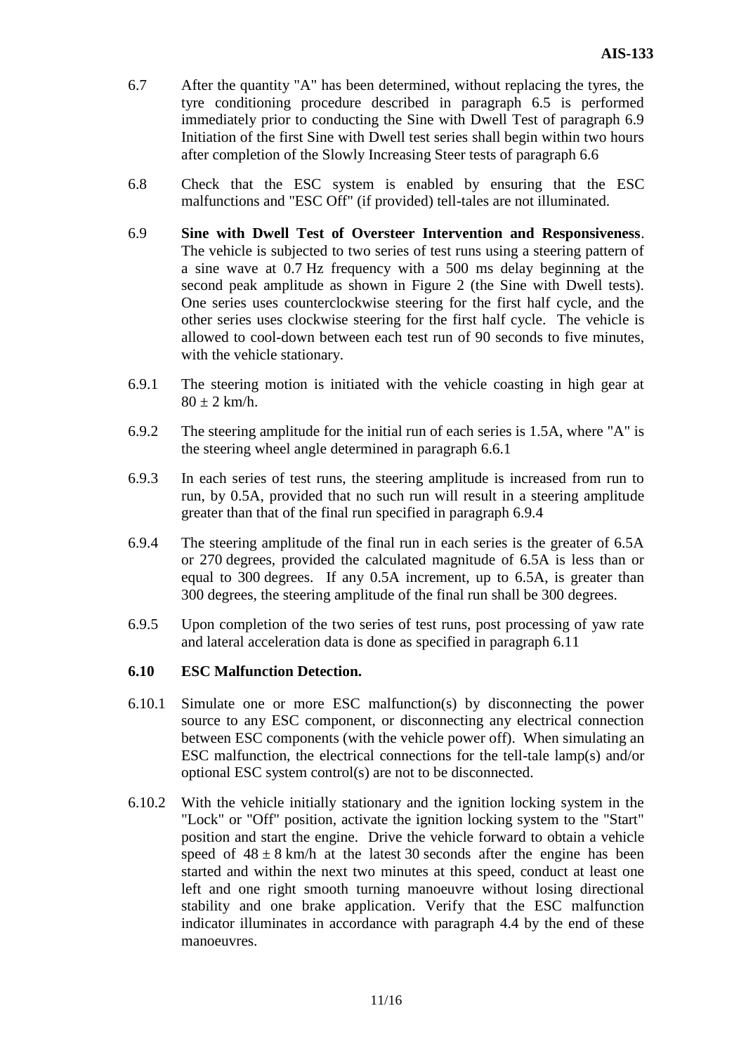- 6.7 After the quantity "A" has been determined, without replacing the tyres, the tyre conditioning procedure described in paragraph 6.5 is performed immediately prior to conducting the Sine with Dwell Test of paragraph 6.9 Initiation of the first Sine with Dwell test series shall begin within two hours after completion of the Slowly Increasing Steer tests of paragraph 6.6
- 6.8 Check that the ESC system is enabled by ensuring that the ESC malfunctions and "ESC Off" (if provided) tell-tales are not illuminated.
- 6.9 **Sine with Dwell Test of Oversteer Intervention and Responsiveness**. The vehicle is subjected to two series of test runs using a steering pattern of a sine wave at 0.7 Hz frequency with a 500 ms delay beginning at the second peak amplitude as shown in Figure 2 (the Sine with Dwell tests). One series uses counterclockwise steering for the first half cycle, and the other series uses clockwise steering for the first half cycle. The vehicle is allowed to cool-down between each test run of 90 seconds to five minutes, with the vehicle stationary.
- 6.9.1 The steering motion is initiated with the vehicle coasting in high gear at  $80 \pm 2$  km/h.
- 6.9.2 The steering amplitude for the initial run of each series is 1.5A, where "A" is the steering wheel angle determined in paragraph 6.6.1
- 6.9.3 In each series of test runs, the steering amplitude is increased from run to run, by 0.5A, provided that no such run will result in a steering amplitude greater than that of the final run specified in paragraph 6.9.4
- 6.9.4 The steering amplitude of the final run in each series is the greater of 6.5A or 270 degrees, provided the calculated magnitude of 6.5A is less than or equal to 300 degrees. If any 0.5A increment, up to 6.5A, is greater than 300 degrees, the steering amplitude of the final run shall be 300 degrees.
- 6.9.5 Upon completion of the two series of test runs, post processing of yaw rate and lateral acceleration data is done as specified in paragraph 6.11

#### **6.10 ESC Malfunction Detection.**

- 6.10.1 Simulate one or more ESC malfunction(s) by disconnecting the power source to any ESC component, or disconnecting any electrical connection between ESC components (with the vehicle power off). When simulating an ESC malfunction, the electrical connections for the tell-tale lamp(s) and/or optional ESC system control(s) are not to be disconnected.
- 6.10.2 With the vehicle initially stationary and the ignition locking system in the "Lock" or "Off" position, activate the ignition locking system to the "Start" position and start the engine. Drive the vehicle forward to obtain a vehicle speed of  $48 \pm 8$  km/h at the latest 30 seconds after the engine has been started and within the next two minutes at this speed, conduct at least one left and one right smooth turning manoeuvre without losing directional stability and one brake application. Verify that the ESC malfunction indicator illuminates in accordance with paragraph 4.4 by the end of these manoeuvres.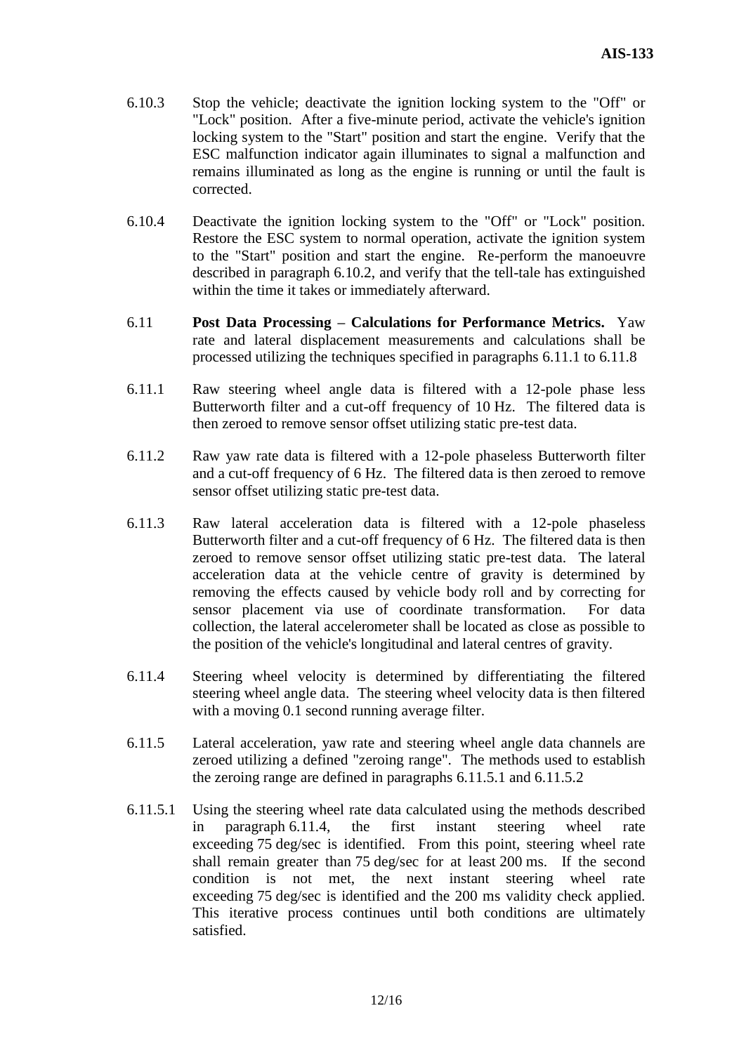- 6.10.3 Stop the vehicle; deactivate the ignition locking system to the "Off" or "Lock" position. After a five-minute period, activate the vehicle's ignition locking system to the "Start" position and start the engine. Verify that the ESC malfunction indicator again illuminates to signal a malfunction and remains illuminated as long as the engine is running or until the fault is corrected.
- 6.10.4 Deactivate the ignition locking system to the "Off" or "Lock" position. Restore the ESC system to normal operation, activate the ignition system to the "Start" position and start the engine. Re-perform the manoeuvre described in paragraph 6.10.2, and verify that the tell-tale has extinguished within the time it takes or immediately afterward.
- 6.11 **Post Data Processing – Calculations for Performance Metrics.** Yaw rate and lateral displacement measurements and calculations shall be processed utilizing the techniques specified in paragraphs 6.11.1 to 6.11.8
- 6.11.1 Raw steering wheel angle data is filtered with a 12-pole phase less Butterworth filter and a cut-off frequency of 10 Hz. The filtered data is then zeroed to remove sensor offset utilizing static pre-test data.
- 6.11.2 Raw yaw rate data is filtered with a 12-pole phaseless Butterworth filter and a cut-off frequency of 6 Hz. The filtered data is then zeroed to remove sensor offset utilizing static pre-test data.
- 6.11.3 Raw lateral acceleration data is filtered with a 12-pole phaseless Butterworth filter and a cut-off frequency of 6 Hz. The filtered data is then zeroed to remove sensor offset utilizing static pre-test data. The lateral acceleration data at the vehicle centre of gravity is determined by removing the effects caused by vehicle body roll and by correcting for sensor placement via use of coordinate transformation. For data collection, the lateral accelerometer shall be located as close as possible to the position of the vehicle's longitudinal and lateral centres of gravity.
- 6.11.4 Steering wheel velocity is determined by differentiating the filtered steering wheel angle data. The steering wheel velocity data is then filtered with a moving 0.1 second running average filter.
- 6.11.5 Lateral acceleration, yaw rate and steering wheel angle data channels are zeroed utilizing a defined "zeroing range". The methods used to establish the zeroing range are defined in paragraphs 6.11.5.1 and 6.11.5.2
- 6.11.5.1 Using the steering wheel rate data calculated using the methods described in paragraph 6.11.4, the first instant steering wheel rate exceeding 75 deg/sec is identified. From this point, steering wheel rate shall remain greater than 75 deg/sec for at least 200 ms. If the second condition is not met, the next instant steering wheel rate exceeding 75 deg/sec is identified and the 200 ms validity check applied. This iterative process continues until both conditions are ultimately satisfied.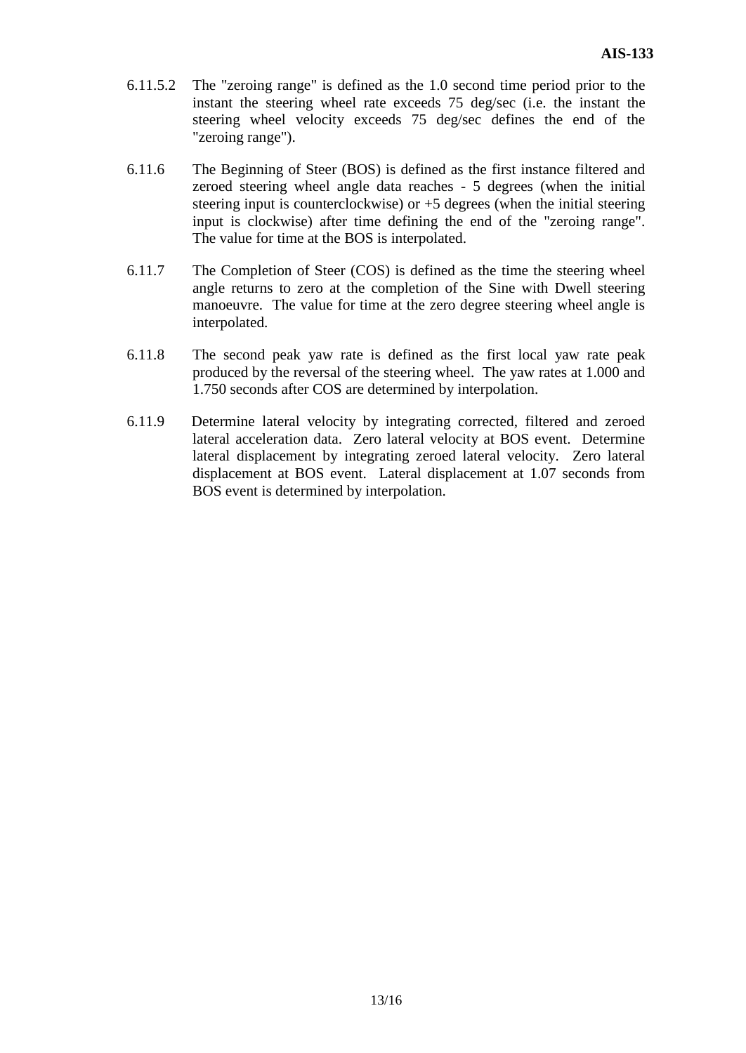- 6.11.5.2 The "zeroing range" is defined as the 1.0 second time period prior to the instant the steering wheel rate exceeds 75 deg/sec (i.e. the instant the steering wheel velocity exceeds 75 deg/sec defines the end of the "zeroing range").
- 6.11.6 The Beginning of Steer (BOS) is defined as the first instance filtered and zeroed steering wheel angle data reaches - 5 degrees (when the initial steering input is counterclockwise) or +5 degrees (when the initial steering input is clockwise) after time defining the end of the "zeroing range". The value for time at the BOS is interpolated.
- 6.11.7 The Completion of Steer (COS) is defined as the time the steering wheel angle returns to zero at the completion of the Sine with Dwell steering manoeuvre. The value for time at the zero degree steering wheel angle is interpolated.
- 6.11.8 The second peak yaw rate is defined as the first local yaw rate peak produced by the reversal of the steering wheel. The yaw rates at 1.000 and 1.750 seconds after COS are determined by interpolation.
- 6.11.9 Determine lateral velocity by integrating corrected, filtered and zeroed lateral acceleration data. Zero lateral velocity at BOS event. Determine lateral displacement by integrating zeroed lateral velocity. Zero lateral displacement at BOS event. Lateral displacement at 1.07 seconds from BOS event is determined by interpolation.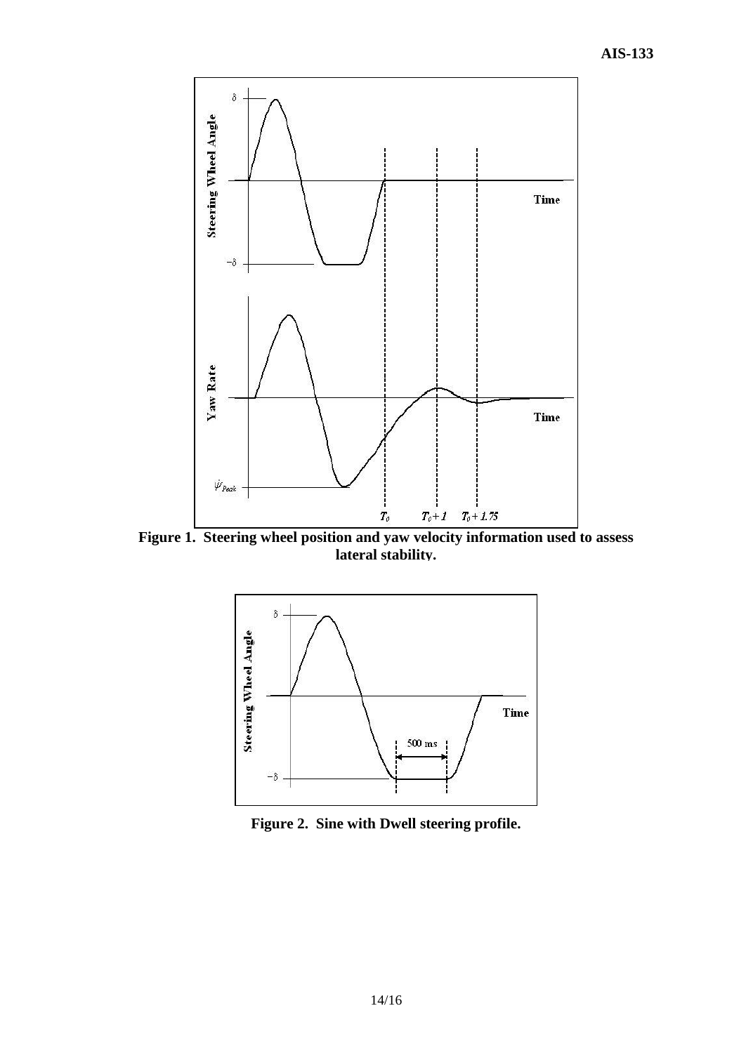

**Figure 1. Steering wheel position and yaw velocity information used to assess lateral stability.**



**Figure 2. Sine with Dwell steering profile.**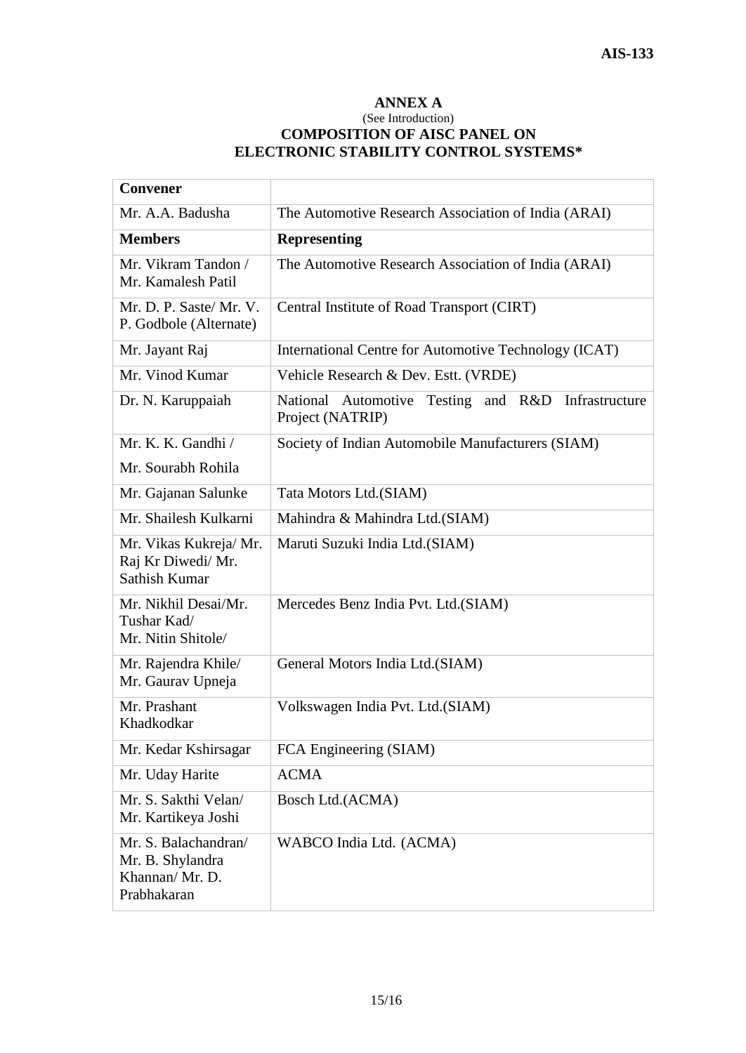#### **ANNEX A**

#### (See Introduction) **COMPOSITION OF AISC PANEL ON ELECTRONIC STABILITY CONTROL SYSTEMS\***

| <b>Convener</b>                                                           |                                                                                 |  |  |
|---------------------------------------------------------------------------|---------------------------------------------------------------------------------|--|--|
| Mr. A.A. Badusha                                                          | The Automotive Research Association of India (ARAI)                             |  |  |
| <b>Members</b>                                                            | <b>Representing</b>                                                             |  |  |
| Mr. Vikram Tandon /<br>Mr. Kamalesh Patil                                 | The Automotive Research Association of India (ARAI)                             |  |  |
| Mr. D. P. Saste/ Mr. V.<br>P. Godbole (Alternate)                         | Central Institute of Road Transport (CIRT)                                      |  |  |
| Mr. Jayant Raj                                                            | International Centre for Automotive Technology (ICAT)                           |  |  |
| Mr. Vinod Kumar                                                           | Vehicle Research & Dev. Estt. (VRDE)                                            |  |  |
| Dr. N. Karuppaiah                                                         | Testing<br>National Automotive<br>and R&D<br>Infrastructure<br>Project (NATRIP) |  |  |
| Mr. K. K. Gandhi /                                                        | Society of Indian Automobile Manufacturers (SIAM)                               |  |  |
| Mr. Sourabh Rohila                                                        |                                                                                 |  |  |
| Mr. Gajanan Salunke                                                       | Tata Motors Ltd.(SIAM)                                                          |  |  |
| Mr. Shailesh Kulkarni                                                     | Mahindra & Mahindra Ltd.(SIAM)                                                  |  |  |
| Mr. Vikas Kukreja/Mr.<br>Raj Kr Diwedi/ Mr.<br>Sathish Kumar              | Maruti Suzuki India Ltd.(SIAM)                                                  |  |  |
| Mr. Nikhil Desai/Mr.<br>Tushar Kad/<br>Mr. Nitin Shitole/                 | Mercedes Benz India Pvt. Ltd. (SIAM)                                            |  |  |
| Mr. Rajendra Khile/<br>Mr. Gaurav Upneja                                  | General Motors India Ltd.(SIAM)                                                 |  |  |
| Mr. Prashant<br>Khadkodkar                                                | Volkswagen India Pvt. Ltd. (SIAM)                                               |  |  |
| Mr. Kedar Kshirsagar                                                      | FCA Engineering (SIAM)                                                          |  |  |
| Mr. Uday Harite                                                           | <b>ACMA</b>                                                                     |  |  |
| Mr. S. Sakthi Velan/<br>Mr. Kartikeya Joshi                               | Bosch Ltd.(ACMA)                                                                |  |  |
| Mr. S. Balachandran/<br>Mr. B. Shylandra<br>Khannan/Mr. D.<br>Prabhakaran | WABCO India Ltd. (ACMA)                                                         |  |  |